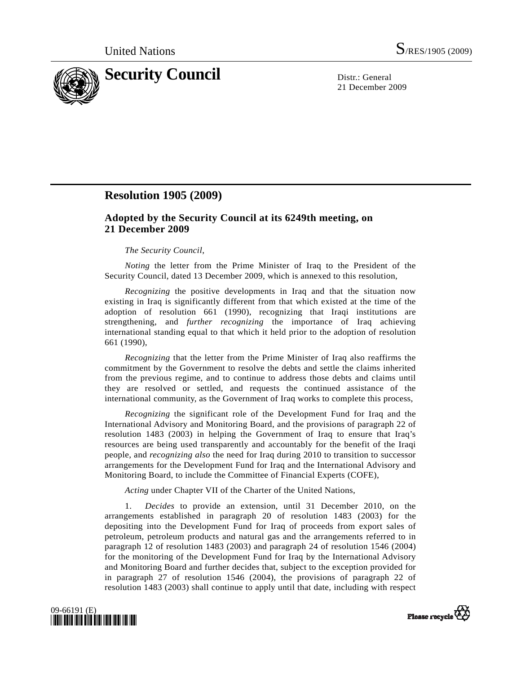

21 December 2009

# **Resolution 1905 (2009)**

### **Adopted by the Security Council at its 6249th meeting, on 21 December 2009**

#### *The Security Council*,

*Noting* the letter from the Prime Minister of Iraq to the President of the Security Council, dated 13 December 2009, which is annexed to this resolution,

*Recognizing* the positive developments in Iraq and that the situation now existing in Iraq is significantly different from that which existed at the time of the adoption of resolution 661 (1990), recognizing that Iraqi institutions are strengthening, and *further recognizing* the importance of Iraq achieving international standing equal to that which it held prior to the adoption of resolution 661 (1990),

*Recognizing* that the letter from the Prime Minister of Iraq also reaffirms the commitment by the Government to resolve the debts and settle the claims inherited from the previous regime, and to continue to address those debts and claims until they are resolved or settled, and requests the continued assistance of the international community, as the Government of Iraq works to complete this process,

*Recognizing* the significant role of the Development Fund for Iraq and the International Advisory and Monitoring Board, and the provisions of paragraph 22 of resolution 1483 (2003) in helping the Government of Iraq to ensure that Iraq's resources are being used transparently and accountably for the benefit of the Iraqi people, and *recognizing also* the need for Iraq during 2010 to transition to successor arrangements for the Development Fund for Iraq and the International Advisory and Monitoring Board, to include the Committee of Financial Experts (COFE),

*Acting* under Chapter VII of the Charter of the United Nations,

 1. *Decides* to provide an extension, until 31 December 2010, on the arrangements established in paragraph 20 of resolution 1483 (2003) for the depositing into the Development Fund for Iraq of proceeds from export sales of petroleum, petroleum products and natural gas and the arrangements referred to in paragraph 12 of resolution 1483 (2003) and paragraph 24 of resolution 1546 (2004) for the monitoring of the Development Fund for Iraq by the International Advisory and Monitoring Board and further decides that, subject to the exception provided for in paragraph 27 of resolution 1546 (2004), the provisions of paragraph 22 of resolution 1483 (2003) shall continue to apply until that date, including with respect



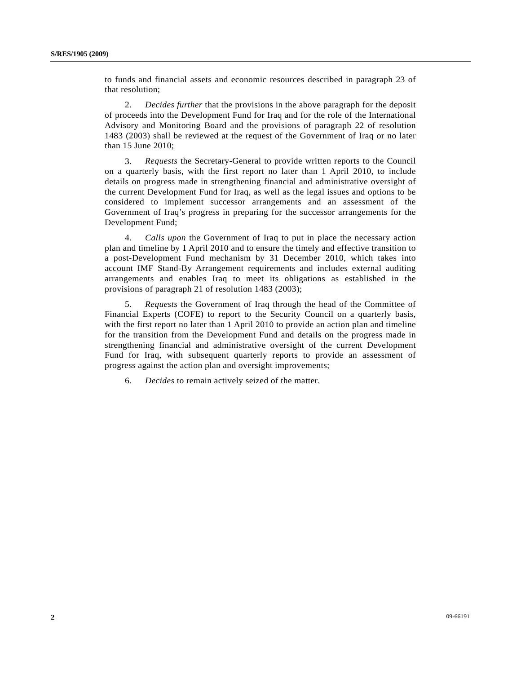to funds and financial assets and economic resources described in paragraph 23 of that resolution;

 2. *Decides further* that the provisions in the above paragraph for the deposit of proceeds into the Development Fund for Iraq and for the role of the International Advisory and Monitoring Board and the provisions of paragraph 22 of resolution 1483 (2003) shall be reviewed at the request of the Government of Iraq or no later than 15 June 2010;

 3. *Requests* the Secretary-General to provide written reports to the Council on a quarterly basis, with the first report no later than 1 April 2010, to include details on progress made in strengthening financial and administrative oversight of the current Development Fund for Iraq, as well as the legal issues and options to be considered to implement successor arrangements and an assessment of the Government of Iraq's progress in preparing for the successor arrangements for the Development Fund;

 4. *Calls upon* the Government of Iraq to put in place the necessary action plan and timeline by 1 April 2010 and to ensure the timely and effective transition to a post-Development Fund mechanism by 31 December 2010, which takes into account IMF Stand-By Arrangement requirements and includes external auditing arrangements and enables Iraq to meet its obligations as established in the provisions of paragraph 21 of resolution 1483 (2003);

 5. *Requests* the Government of Iraq through the head of the Committee of Financial Experts (COFE) to report to the Security Council on a quarterly basis, with the first report no later than 1 April 2010 to provide an action plan and timeline for the transition from the Development Fund and details on the progress made in strengthening financial and administrative oversight of the current Development Fund for Iraq, with subsequent quarterly reports to provide an assessment of progress against the action plan and oversight improvements;

6. *Decides* to remain actively seized of the matter.